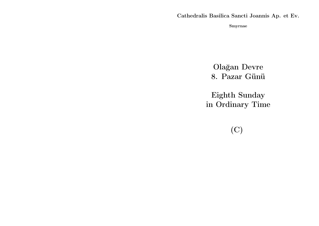Cathedralis Basilica Sancti Joannis Ap. et Ev.

Smyrnae

Olağan Devre 8. Pazar Günü

Eighth Sunday in Ordinary Time

(C)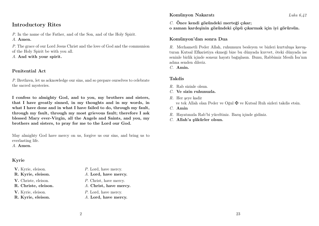# Introductory Rites

P. In the name of the Father, and of the Son, and of the Holy Spirit. A. Amen.

P. The grace of our Lord Jesus Christ and the love of God and the communion of the Holy Spirit be with you all.

A. And with your spirit.

## Penitential Act

P. Brethren, let us acknowledge our sins, and so prepare ourselves to celebrate the sacred mysteries.

I confess to almighty God, and to you, my brothers and sisters, that I have greatly sinned, in my thoughts and in my words, in what I have done and in what I have failed to do, through my fault, through my fault, through my most grievous fault; therefore I ask blessed Mary ever-Virgin, all the Angels and Saints, and you, my brothers and sisters, to pray for me to the Lord our God.

May almighty God have mercy on us, forgive us our sins, and bring us to everlasting life.

A. Amen.

# Kyrie

- 
- 
- 
- 

- V. Kyrie, eleison.  $P.$  Lord, have mercy.
- R. Kyrie, eleison. A. Lord, have mercy.
- V. Christe, eleison. P. Christ, have mercy.
- R. Christe, eleison. A. Christ, have mercy.
- V. Kyrie, eleison.  $P$ . Lord, have mercy.
- R. Kyrie, eleison. A. Lord, have mercy.

## Komünyon Nakaratı Luka 6,42

C. Önce kendi gözündeki merteği çıkar;

o zaman kardeşinin gözündeki çöpü çıkarmak için iyi görürsün.

## Komünyon'dan sonra Dua

R. Merhametli Peder Allah, ruhumuzu besleyen ve bizleri kurtuluşa kavuşturan Kutsal Efkaristiya ekmeği bize bu dünyada kuvvet, öteki dünyada ise seninle birlik içinde sonsuz hayatı bağışlasın. Bunu, Rabbimiz Mesih İsa'nın adına senden dileriz.

C. Amin.

#### Takdis

- $R$ . Rab sizinle olsun.
- $C$ . Ve sizin ruhunuzla.
- R. Her şeye kadir ve tek Allah olan Peder ve Oğul  $\mathbf{\ddot{F}}$  ve Kutsal Ruh sizleri takdis etsin.
- C. Amin
- R. Hayatınızla Rab'bi yüceltiniz. Barış içinde gidiniz.
- C. Allah'a şükürler olsun.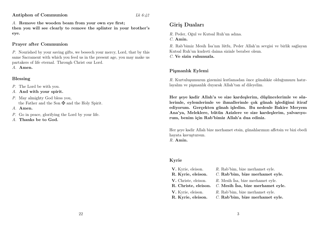Antiphon of Communion Lk 6:42

A. Remove the wooden beam from your own eye first;

then you will see clearly to remove the splinter in your brother's eye.

## Prayer after Communion

P. Nourished by your saving gifts, we beseech your mercy, Lord, that by this same Sacrament with which you feed us in the present age, you may make us partakers of life eternal. Through Christ our Lord.

A. Amen.

# Blessing

- P. The Lord be with you.
- A. And with your spirit.
- P. May almighty God bless you, the Father and the Son  $\mathbf{\nabla}$  and the Holy Spirit.
- A. Amen.
- P. Go in peace, glorifying the Lord by your life.
- A. Thanks be to God.

# Giriş Duaları

R. Peder, Oğul ve Kutsal Ruh'un adına.

C. Amin.

R. Rab'bimiz Mesih İsa'nın lütfu, Peder Allah'ın sevgisi ve birlik sağlayan Kutsal Ruh'un kudreti daima sizinle beraber olsun.

 $C$ . Ve sizin ruhunuzla.

# Pişmanlık Eylemi

R. Kurtuluşumuzun gizemini kutlamadan önce günahkâr olduğumuzu hatırlayalım ve pişmanlık duyarak Allah'tan af dileyelim.

Her şeye kadir Allah'a ve size kardeşlerim, düşüncelerimle ve sözlerimle, eylemlerimle ve ihmallerimle çok günah işlediğimi itiraf ediyorum. Gerçekten günah işledim. Bu nedenle Bakire Meryem Ana'ya, Meleklere, bütün Azizlere ve size kardeşlerim, yalvarıyorum, benim için Rab'bimiz Allah'a dua ediniz.

Her şeye kadir Allah bize merhamet etsin, günahlarımızı affetsin ve bizi ebedi hayata kavuştursun.

R. Amin.

# Kyrie

| V. Kyrie, eleison.   | R. Rab'bim, bize merhamet eyle.     |
|----------------------|-------------------------------------|
| R. Kyrie, eleison.   | C. Rab'bim, bize merhamet eyle.     |
| V. Christe, eleison. | R. Mesih Isa, bize merhamet eyle.   |
| R. Christe, eleison. | $C.$ Mesih Isa, bize merhamet eyle. |
| V. Kyrie, eleison.   | R. Rab'bim, bize merhamet eyle.     |
| R. Kyrie, eleison.   | C. Rab'bim, bize merhamet eyle.     |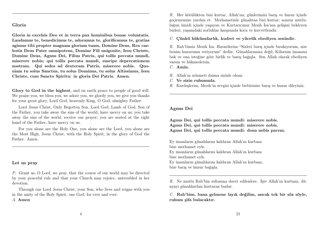#### Gloria

Gloria in excelsis Deo et in terra pax hominibus bonae voluntatis. Laudamus te, benedicimus te, adoramus te, glorificamus te, gratias agimus tibi propter magnam gloriam tuam, Domine Deus, Rex caelestis Deus Pater omnipotens, Domine Fili unigenite, Iesu Christe, Domine Deus, Agnus Dei, Filius Patris, qui tollis peccata mundi, miserere nobis; qui tollis peccata mundi, suscipe deprecationem nostram. Qui sedes ad dexteram Patris, miserere nobis. Quoniam tu solus Sanctus, tu solus Dominus, tu solus Altissimus, Iesu Christe, cum Sancto Spiritu: in gloria Dei Patris. Amen.

Glory to God in the highest, and on earth peace to people of good will. We praise you, we bless you, we adore you, we glorify you, we give you thanks for your great glory, Lord God, heavenly King, O God, almighty Father.

Lord Jesus Christ, Only Begotten Son, Lord God, Lamb of God, Son of the Father, you take away the sins of the world, have mercy on us; you take away the sins of the world, receive our prayer; you are seated at the right hand of the Father, have mercy on us.

For you alone are the Holy One, you alone are the Lord, you alone are the Most High, Jesus Christ, with the Holy Spirit, in the glory of God the Father. Amen.

#### Let us pray

P. Grant us, O Lord, we pray, that the course of our world may be directed by your peaceful rule and that your Church may rejoice, untroubled in her devotion.

Through our Lord Jesus Christ, your Son, who lives and reigns with you in the unity of the Holy Spirit, one God, for ever and ever.

#### A. Amen

R. Her kötülükten bizi kurtar, Allah'ım; günlerimizi barış ve huzur içinde geçirmemize yardım et. Merhametinle günahtan bizi kurtar; sonsuz mutluluğun ümidi içinde yaşayan ve Kurtarıcımız Mesih İsa'nın gelişini bekleyen bizleri, yaşamdaki zorluklar karşısında koru ve kuvvetlendir.

C. Çünkü hükümdarlık, kudret ve yücelik ebediyen senindir.

R. Rab'bimiz Mesih İsa, Havarilerine "Sizleri barış içinde bırakıyorum, size benim huzurumu veriyorum" dedin. Günahlarımıza değil, Kilisenin imanına bak ve ona isteğine göre birlik ve barış bağışla. Sen Allah olarak ebediyen varsın ve hükmedersin.

C. Amin.

- R. Allah'ın selameti daima sizinle olsun.
- C. Ve sizin ruhunuzla.
- R. Kardeşlerim, Mesih'in sevgisi içinde birbirinize barış ve huzur dileyiniz.

#### Agnus Dei

Agnus Dei, qui tollis peccata mundi: miserere nobis. Agnus Dei, qui tollis peccata mundi: miserere nobis. Agnus Dei, qui tollis peccata mundi: dona nobis pacem.

Ey insanların günahlarını kaldıran Allah'ın kurbanı bize merhamet eyle.

Ey insanların günahlarını kaldıran Allah'ın kurbanı bize merhamet eyle.

Ey insanların günahlarını kaldıran Allah'ın kurbanı, bize barış ve huzur bağışla.

R. Ne mutlu Rab'bin sofrasına davet edilenlere. İşte Allah'ın kurbanı, dünyayı günahlardan kurtaran budur.

C. Rab'bim, bana gelmene layık değilim, ancak tek bir söz söyle, ruhum şifa bulacaktır.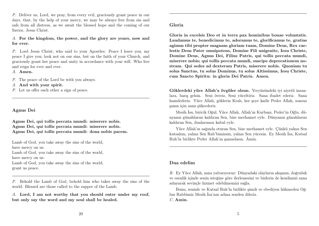P. Deliver us, Lord, we pray, from every evil, graciously grant peace in our days, that, by the help of your mercy, we may be always free from sin and safe from all distress, as we await the blessed hope and the coming of our Savior, Jesus Christ.

A. For the kingdom, the power, and the glory are yours, now and for ever.

P. Lord Jesus Christ, who said to your Apostles: Peace I leave you, my peace I give you; look not on our sins, but on the faith of your Church, and graciously grant her peace and unity in accordance with your will. Who live and reign for ever and ever.

A. Amen.

P. The peace of the Lord be with you always.

A. And with your spirit.

P. Let us offer each other a sign of peace.

#### Agnus Dei

Agnus Dei, qui tollis peccata mundi: miserere nobis. Agnus Dei, qui tollis peccata mundi: miserere nobis. Agnus Dei, qui tollis peccata mundi: dona nobis pacem.

Lamb of God, you take away the sins of the world, have mercy on us. Lamb of God, you take away the sins of the world, have mercy on us. Lamb of God, you take away the sins of the world, grant us peace.

P. Behold the Lamb of God, behold him who takes away the sins of the world. Blessed are those called to the supper of the Lamb.

A. Lord, I am not worthy that you should enter under my roof, but only say the word and my soul shall be healed.

Gloria in excelsis Deo et in terra pax hominibus bonae voluntatis. Laudamus te, benedicimus te, adoramus te, glorificamus te, gratias agimus tibi propter magnam gloriam tuam, Domine Deus, Rex caelestis Deus Pater omnipotens, Domine Fili unigenite, Iesu Christe, Domine Deus, Agnus Dei, Filius Patris, qui tollis peccata mundi, miserere nobis; qui tollis peccata mundi, suscipe deprecationem nostram. Qui sedes ad dexteram Patris, miserere nobis. Quoniam tu solus Sanctus, tu solus Dominus, tu solus Altissimus, Iesu Christe, cum Sancto Spiritu: in gloria Dei Patris. Amen.

Göklerdeki yüce Allah'a övgüler olsun. Yeryüzündeki iyi niyetli insanlara, barış gelsin. Seni överiz, Seni yüceltiriz. Sana ibadet ederiz. Sana hamdederiz. Yüce Allah, göklerin Kralı, her şeye kadir Peder Allah, sonsuz şanın için sana şükrederiz.

Mesih İsa, biricik Oğul, Yüce Allah, Allah'ın Kurbanı, Peder'in Oğlu, dünyanın günahlarını kaldıran Sen, bize merhamet eyle. Dünyanın günahlarını kaldıran Sen, dualarımızı kabul eyle.

Yüce Allah'ın sağında oturan Sen, bize merhamet eyle. Çünkü yalnız Sen kutsalsın, yalnız Sen Rab'bimizsin, yalnız Sen yücesin. Ey Mesih İsa, Kutsal Ruh'la birlikte Peder Allah'ın şanındasın. Âmin.

#### Dua edelim

R. Ey Yüce Allah, sana yalvarıyoruz: Dünyadaki olayların akışının, doğruluk ve esenlik içinde senin isteğine göre ilerlemesini ve bizlerin de kendimizi sana adayarak sevinçle hizmet edebilmemizi sağla.

Bunu, seninle ve Kutsal Ruh'la birlikte şimdi ve ebediyen hükmeden Oğlun Rabbimiz Mesih İsa'nın adına senden dileriz. C. Amin.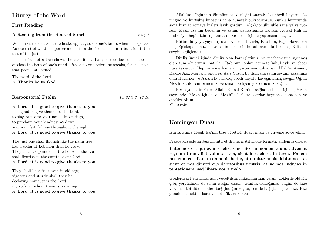# Liturgy of the Word

### First Reading

#### A Reading from the Book of Sirach 27:4-7

When a sieve is shaken, the husks appear; so do one's faults when one speaks. As the test of what the potter molds is in the furnace, so in tribulation is the test of the just.

The fruit of a tree shows the care it has had; so too does one's speech disclose the bent of one's mind. Praise no one before he speaks, for it is then that people are tested.

The word of the Lord. A. Thanks be to God.

## Responsorial Psalm Ps 92:2-3, 13-16

A. Lord, it is good to give thanks to you. It is good to give thanks to the Lord, to sing praise to your name, Most High, to proclaim your kindness at dawn and your faithfulness throughout the night. A. Lord, it is good to give thanks to you.

The just one shall flourish like the palm tree, like a cedar of Lebanon shall he grow. They that are planted in the house of the Lord shall flourish in the courts of our God. A. Lord, it is good to give thanks to you.

They shall bear fruit even in old age; vigorous and sturdy shall they be, declaring how just is the Lord, my rock, in whom there is no wrong. A. Lord, it is good to give thanks to you.

Allah'ım, Oğlu'nun ölümünü ve dirilişini anarak, bu ebedi hayatın ekmeğini ve kurtuluş kupasını sana sunarak şükrediyoruz; çünkü huzurunda sana hizmet etmeye bizleri layık gördün. Alçakgönüllülükle sana yalvarıyoruz: Mesih İsa'nın bedenini ve kanını paylaştığımız zaman, Kutsal Ruh'un kudretiyle hepimizin toplanmasını ve birlik içinde yaşamasını sağla.

Bütün dünyaya yayılmış olan Kilise'ni hatırla, Rab'bim, Papa Hazretleri . . . , Episkoposumuz . . . ve senin hizmetinde bulunanlarla birlikte, Kilise'ni sevginle güçlendir.

Diriliş ümidi içinde ölmüş olan kardeşlerimizi ve merhametine sığınmış olan tüm ölülerimizi hatırla. Rab'bim, onları cennete kabul eyle ve ebedi nura kavuştur. Hepimize merhametini göstermeni diliyoruz. Allah'ın Annesi, Bakire Aziz Meryem, onun eşi Aziz Yusuf, bu dünyada senin sevgini kazanmış olan Havariler ve Azizlerle birlikte, ebedi hayata kavuşmamızı, sevgili Oğlun Mesih İsa ile seni övmemizi ve sana ebediyen şükretmemizi sağla.

Her şeye kadir Peder Allah, Kutsal Ruh'un sağladığı birlik içinde, Mesih sayesinde, Mesih içinde ve Mesih'le birlikte, asırlar boyunca, sana şan ve övgüler olsun.

C. Amin.

# Komünyon Duası

Kurtarıcımız Mesih İsa'nın bize öğrettiği duayı iman ve güvenle söyleyelim.

Praeceptis salutaribus moniti, et divina institutione formati, audemus dicere:

Pater noster, qui es in caelis, sanctificetur nomen tuum, adveniat regnum tuum, fiat voluntas tua, sicut in caelo et in terra. Panem nostrum cotidianum da nobis hodie, et dimitte nobis debita nostra, sicut et nos dimittimus debitoribus nostris, et ne nos inducas in tentationem, sed libera nos a malo.

Göklerdeki Pederimiz, adın yüceltilsin, hükümdarlığın gelsin, göklerde olduğu gibi, yeryüzünde de senin isteğin olsun. Günlük ekmeğimizi bugün de bize ver, bize kötülük edenleri bağışladığımız gibi, sen de bağışla suçlarımızı. Bizi günah işlemekten koru ve kötülükten kurtar.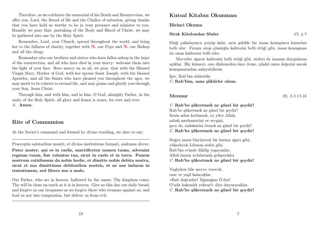Therefore, as we celebrate the memorial of his Death and Resurrection, we offer you, Lord, the Bread of life and the Chalice of salvation, giving thanks that you have held us worthy to be in your presence and minister to you. Humbly we pray that, partaking of the Body and Blood of Christ, we may be gathered into one by the Holy Spirit.

Remember, Lord, your Church, spread throughout the world, and bring her to the fullness of charity, together with  $N$ , our Pope and  $N$ , our Bishop and all the clergy.

Remember also our brothers and sisters who have fallen asleep in the hope of the resurrection, and all who have died in your mercy: welcome them into the light of your face. Have mercy on us all, we pray, that with the Blessed Virgin Mary, Mother of God, with her spouse Saint Joseph, with the blessed Apostles, and all the Saints who have pleased you throughout the ages, we may merit to be coheirs to eternal life, and may praise and glorify you through your Son, Jesus Christ.

Through him, and with him, and in him, O God, almighty Father, in the unity of the Holy Spirit, all glory and honor is yours, for ever and ever. A. Amen.

# Rite of Communion

At the Savior's command and formed by divine teaching, we dare to say:

Praeceptis salutaribus moniti, et divina institutione formati, audemus dicere: Pater noster, qui es in caelis, sanctificetur nomen tuum, adveniat regnum tuum, fiat voluntas tua, sicut in caelo et in terra. Panem nostrum cotidianum da nobis hodie, et dimitte nobis debita nostra, sicut et nos dimittimus debitoribus nostris, et ne nos inducas in tentationem, sed libera nos a malo.

Our Father, who art in heaven, hallowed be thy name; Thy kingdom come; Thy will be done on earth as it is in heaven. Give us this day our daily bread; and forgive us our trespasses as we forgive those who trespass against us; and lead us not into temptation, but deliver us from evil.

# Kutsal Kitabın Okunması

Birinci Okuma

#### Sirak Kitabından Sözler 27, 4-7

Eleği çalkalayınca çerçöp kalır, aynı şekilde bir insan konuşunca kusurları belli olur. Fırının ateşi çömleğin kalitesini belli ettiği gibi, insan konuşması da onun kalitesini belli eder.

Meyveler ağacın kalitesini belli ettiği gibi, sözleri de insanın duygularını açıklar. Hiç kimseyi, onu dinlemeden önce övme, çünkü onun değerini ancak konuşmasından anlayabilirsin.

İşte, Rab'bin sözleridir.

C. Rab'bim, sana şükürler olsun.

C. Rab'be şükretmek ne güzel bir şeydir!

Rab'be şükretmek ne güzel bir şeydir! Senin adını kutlamak, ey yüce Allah, sabah merhametini ve sevgini, gece de, sadakatini övmek ne güzel bir şeydir! C. Rab'be şükretmek ne güzel bir şeydir!

Doğru insan büyüyecek bir hurma ağacı gibi, yükselecek Lübnan sediri gibi. Rab'bin evinde dikilip yaşayanlar, Allah'ımızın avlularında gelişecekler. C. Rab'be şükretmek ne güzel bir şeydir!

Yaşlıyken bile meyve verecek, taze ve yeşil kalacaklar. «Rab doğrudur! Sığınağım O'dur! O'nda haksızlık yoktur!» diye duyuracaklar. C. Rab'be şükretmek ne güzel bir şeydir!

Mezmur 92, 2-3.13-16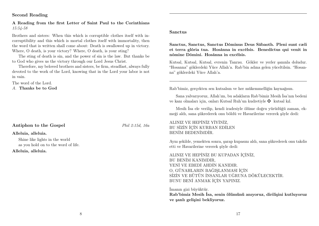## Second Reading

#### A Reading from the first Letter of Saint Paul to the Corinthians 15:54-58

Brothers and sisters: When this which is corruptible clothes itself with incorruptibility and this which is mortal clothes itself with immortality, then the word that is written shall come about: Death is swallowed up in victory. Where, O death, is your victory? Where, O death, is your sting?

The sting of death is sin, and the power of sin is the law. But thanks be to God who gives us the victory through our Lord Jesus Christ.

Therefore, my beloved brothers and sisters, be firm, steadfast, always fully devoted to the work of the Lord, knowing that in the Lord your labor is not in vain.

The word of the Lord.

A. Thanks be to God

# Antiphon to the Gospel Phil 2:15d, 16a

#### Alleluia, alleluia.

Shine like lights in the world as you hold on to the word of life.

Alleluia, alleluia.

#### Sanctus

Sanctus, Sanctus, Sanctus Dóminus Deus Sábaoth. Pleni sunt cæli et terra glória tua. Hosánna in excélsis. Benedíctus qui venit in nómine Dómini. Hosánna in excélsis.

Kutsal, Kutsal, Kutsal, evrenin Tanrısı. Gökler ve yerler şanınla doludur. "Hosanna" göklerdeki Yüce Allah'a. Rab'bin adına gelen yüceltilsin. "Hosanna" göklerdeki Yüce Allah'a.

Rab'bimiz, gerçekten sen kutsalsın ve her mükemmelliğin kaynağısın.

Sana yalvarıyoruz, Allah'ım, bu adakların Rab'bimiz Mesih İsa'nın bedeni ve kanı olmaları için, onları Kutsal Ruh'un kudretiyle  $\mathbf{\Psi}$  kutsal kıl.

Mesih İsa ele verilip, kendi iradesiyle ölüme doğru yürüdüğü zaman, ekmeği aldı, sana şükrederek onu böldü ve Havarilerine vererek şöyle dedi:

## ALINIZ VE HEPİNİZ YİYİNİZ, BU SİZİN İÇİN KURBAN EDİLEN BENİM BEDENİMDİR.

Aynı şekilde, yemekten sonra, şarap kupasını aldı, sana şükrederek onu takdis etti ve Havarilerine vererek şöyle dedi:

ALINIZ VE HEPİNİZ BU KUPADAN İÇİNİZ, BU BENİM KANIMDIR, YENİ VE EBEDİ AHDİN KANIDIR. O, GÜNAHLARIN BAĞIŞLANMASI İÇİN SİZİN VE BÜTÜN İNSANLAR UĞRUNA DÖKÜLECEKTİR. BUNU BENİ ANMAK İÇİN YAPINIZ.

İmanın gizi büyüktür.

Rab'bimiz Mesih İsa, senin ölümünü anıyoruz, dirilişini kutluyoruz ve şanlı gelişini bekliyoruz.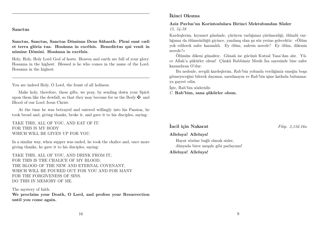Sanctus

Sanctus, Sanctus, Sanctus Dóminus Deus Sábaoth. Pleni sunt cæli et terra glória tua. Hosánna in excélsis. Benedíctus qui venit in nómine Dómini. Hosánna in excélsis.

Holy, Holy, Holy Lord God of hosts. Heaven and earth are full of your glory. Hosanna in the highest. Blessed is he who comes in the name of the Lord. Hosanna in the highest.

You are indeed Holy, O Lord, the fount of all holiness.

Make holy, therefore, these gifts, we pray, by sending down your Spirit upon them like the dewfall, so that they may become for us the Body  $\mathbf{\ddot{F}}$  and Blood of our Lord Jesus Christ.

At the time he was betrayed and entered willingly into his Passion, he took bread and, giving thanks, broke it, and gave it to his disciples, saying:

TAKE THIS, ALL OF YOU, AND EAT OF IT: FOR THIS IS MY BODY WHICH WILL BE GIVEN UP FOR YOU.

In a similar way, when supper was ended, he took the chalice and, once more giving thanks, he gave it to his disciples, saying:

TAKE THIS, ALL OF YOU, AND DRINK FROM IT; FOR THIS IS THE CHALICE OF MY BLOOD, THE BLOOD OF THE NEW AND ETERNAL COVENANT, WHICH WILL BE POURED OUT FOR YOU AND FOR MANY FOR THE FORGIVENESS OF SINS. DO THIS IN MEMORY OF ME.

The mystery of faith. We proclaim your Death, O Lord, and profess your Resurrection until you come again.

# İkinci Okuma

Aziz Pavlus'un Korintoslulara Birinci Mektubundan Sözler 15, 54-58

Kardeşlerim, kıyamet gününde, çürüyen varlığımız çürümezliği, ölümlü varlığımız da ölümsüzlüğü giyince, yazılmış olan şu söz yerine gelecektir: «Ölüm yok edilerek zafer kazanıldı. Ey ölüm, zaferin nerede? Ey ölüm, dikenin nerede?»

Ölümün dikeni günahtır. Günah ise gücünü Kutsal Yasa'dan alır. Yüce Allah'a şükürler olsun! Çünkü Rabbimiz Mesih İsa sayesinde bize zafer kazandıran O'dur.

Bu nedenle, sevgili kardeşlerim, Rab'bin yolunda verdiğimiz emeğin boşa gitmeyeceğini bilerek dayanın, sarsılmayın ve Rab'bin işine katkıda bulunmaya gayret edin.

İşte, Rab'bin sözleridir.

C. Rab'bim, sana şükürler olsun.

# **incil için Nakarat** Filip. 2,15d.16a

#### Alleluya! Alleluya!

Hayat sözüne bağlı olarak sizler, dünyada birer meşale gibi parlayınız!

Alleluya! Alleluya!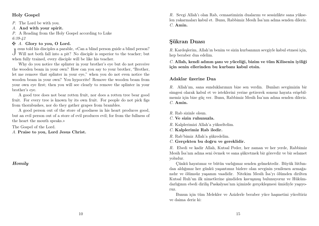## Holy Gospel

P. The Lord be with you.

A. And with your spirit.

P. A Reading from the Holy Gospel according to Luke 6:39-42

## $\mathbf{\ddot{A}}$ . Glory to you, O Lord.

J esus told his disciples a parable, «Can a blind person guide a blind person?<br>Will not both fall into a pit? No disciple is superior to the teacher; but esus told his disciples a parable, «Can a blind person guide a blind person? when fully trained, every disciple will be like his teacher.

Why do you notice the splinter in your brother's eye but do not perceive the wooden beam in your own? How can you say to your brother, "Brother, let me remove that splinter in your eye," when you do not even notice the wooden beam in your own? You hypocrite! Remove the wooden beam from your own eye first; then you will see clearly to remove the splinter in your brother's eye.

A good tree does not bear rotten fruit, nor does a rotten tree bear good fruit. For every tree is known by its own fruit. For people do not pick figs from thornbushes, nor do they gather grapes from brambles.

A good person out of the store of goodness in his heart produces good, but an evil person out of a store of evil produces evil; for from the fullness of the heart the mouth speaks.»

The Gospel of the Lord.

A. Praise to you, Lord Jesus Christ.

Homily

R. Sevgi Allah'ı olan Rab, cemaatimizin dualarını ve sessizlikte sana yükselen yakarmaları kabul et. Bunu, Rabbimiz Mesih İsa'nın adına senden dileriz. C. Amin.

# Şükran Duası

R. Kardeşlerim, Allah'ın benim ve sizin kurbanınızı sevgiyle kabul etmesi için, hep beraber dua edelim.

C. Allah, kendi adının şanı ve yüceliği, bizim ve tüm Kilisenin iyiliği için senin ellerinden bu kurbanı kabul etsin.

## Adaklar üzerine Dua

R. Allah'ım, sana sunduklarımızı bize sen verdin. Bunları sevgimizin bir simgesi olarak kabul et ve isteklerini yerine getirerek sonsuz hayata erişebilmemiz için bize güç ver. Bunu, Rabbimiz Mesih İsa'nın adına senden dileriz. C. Amin.

- R. Rab sizinle olsun.
- C. Ve sizin ruhunuzla.
- R. Kalplerimizi Allah'a yükseltelim.
- C. Kalplerimiz Rab iledir.
- R. Rab'bimiz Allah'a şükredelim.
- C. Gerçekten bu doğru ve gereklidir.

R. Ebedi ve kadir Allah, Kutsal Peder, her zaman ve her yerde, Rabbimiz Mesih İsa'nın adına seni övmek ve sana şükretmek bir görevdir ve bir selamet yoludur.

Çünkü hayatımız ve bütün varlığımız senden gelmektedir. Büyük lütfundan aldığımız her günkü yaşantımız bizlere olan sevginin yenilenen armağanıdır ve ölümsüz yaşamın vaadidir. Nitekim Mesih İsa'yı ölümden dirilten Kutsal Ruh'un ilk nimetlerine şimdiden kavuşmuş bulunuyoruz ve Hükümdarlığının ebedi diriliş Paskalyası'nın içimizde gerçekleşmesi ümidiyle yaşıyoruz.

Bunun için tüm Melekler ve Azizlerle beraber yüce haşmetini yüceltiriz ve daima deriz ki: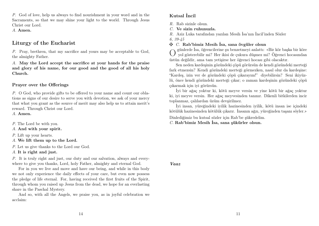P. God of love, help us always to find nourishment in your word and in the Sacraments, so that we may shine your light to the world. Through Jesus Christ our Lord.

A. Amen.

# Liturgy of the Eucharist

P. Pray, brethren, that my sacrifice and yours may be acceptable to God, the almighty Father.

A. May the Lord accept the sacrifice at your hands for the praise and glory of his name, for our good and the good of all his holy Church.

#### Prayer over the Offerings

P. O God, who provide gifts to be offered to your name and count our oblations as signs of our desire to serve you with devotion, we ask of your mercy that what you grant as the source of merit may also help us to attain merit's reward. Through Christ our Lord.

A. Amen.

P. The Lord be with you.

A. And with your spirit.

P. Lift up your hearts.

A. We lift them up to the Lord.

P. Let us give thanks to the Lord our God.

A. It is right and just.

P. It is truly right and just, our duty and our salvation, always and everywhere to give you thanks, Lord, holy Father, almighty and eternal God.

For in you we live and move and have our being, and while in this body we not only experience the daily effects of your care, but even now possess the pledge of life eternal. For, having received the first fruits of the Spirit, through whom you raised up Jesus from the dead, we hope for an everlasting share in the Paschal Mystery.

And so, with all the Angels, we praise you, as in joyful celebration we acclaim:

# Kutsal İncil

R. Rab sizinle olsun.

C. Ve sizin ruhunuzla.

R. Aziz Luka tarafından yazılan Mesih İsa'nın İncil'inden Sözler

6, 39-45

#### $\mathbf{\nabla}$  C. Rab'bimiz Mesih İsa, sana övgüler olsun

O günlerde İsa, öğrencilerine şu benzetmeyi anlattı: «Bir kör başka bir köre yol gösterebilir mi? Her ikisi de çukura düşmez mi? Öğrenci hocasından üstün değildir, ama tam yetişirse her öğrenci hocası gibi olacaktır.

Sen neden kardeşinin gözündeki çöpü görürsün de kendi gözündeki merteği fark etmezsin? Kendi gözündeki merteği görmezken, nasıl olur da kardeşine: "Kardeş, izin ver de gözündeki çöpü çıkarayım!" diyebilirsin? Seni ikiyüzlü, önce kendi gözündeki merteği çıkar; o zaman kardeşinin gözündeki çöpü çıkarmak için iyi görürsün.

İyi bir ağaç yoktur ki, kötü meyve versin ve yine kötü bir ağaç yoktur ki, iyi meyve versin. Her ağaç meyvesinden tanınır. Dikenli bitkilerden incir toplanmaz, çalılardan üzüm devşirilmez.

İyi insan, yüreğindeki iyilik hazinesinden iyilik, kötü insan ise içindeki kötülük hazinesinden kötülük çıkarır. İnsanın ağzı, yüreğinden taşanı söyler.»

Dinlediğimiz bu kutsal sözler için Rab'be şükredelim.

C. Rab'bimiz Mesih İsa, sana şükürler olsun.

Vaaz